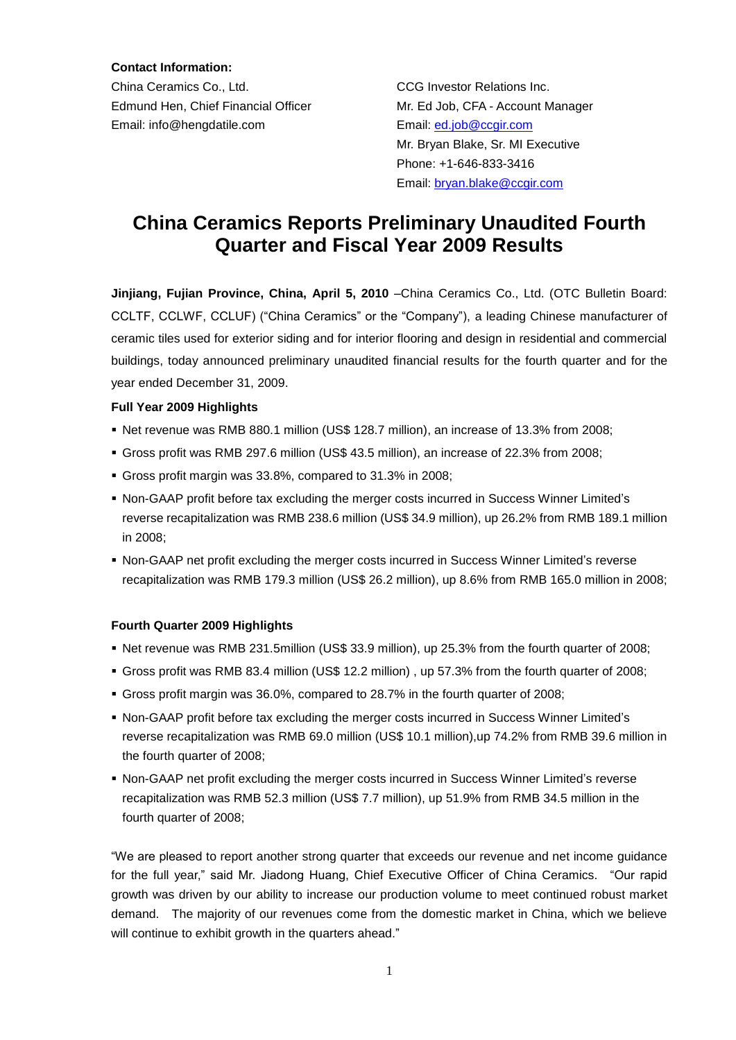**Contact Information:**

China Ceramics Co., Ltd. CCG Investor Relations Inc. Edmund Hen, Chief Financial Officer Mr. Ed Job, CFA - Account Manager Email: info@hengdatile.com Email: [ed.job@ccgir.com](mailto:ed.job@ccgir.com)

 Mr. Bryan Blake, Sr. MI Executive Phone: +1-646-833-3416 Email: [bryan.blake@ccgir.com](mailto:bryan.blake@ccgir.com)

# **China Ceramics Reports Preliminary Unaudited Fourth Quarter and Fiscal Year 2009 Results**

**Jinjiang, Fujian Province, China, April 5, 2010** –China Ceramics Co., Ltd. (OTC Bulletin Board: CCLTF, CCLWF, CCLUF) ("China Ceramics" or the "Company"), a leading Chinese manufacturer of ceramic tiles used for exterior siding and for interior flooring and design in residential and commercial buildings, today announced preliminary unaudited financial results for the fourth quarter and for the year ended December 31, 2009.

### **Full Year 2009 Highlights**

- Net revenue was RMB 880.1 million (US\$ 128.7 million), an increase of 13.3% from 2008;
- Gross profit was RMB 297.6 million (US\$ 43.5 million), an increase of 22.3% from 2008;
- Gross profit margin was 33.8%, compared to 31.3% in 2008;
- Non-GAAP profit before tax excluding the merger costs incurred in Success Winner Limited's reverse recapitalization was RMB 238.6 million (US\$ 34.9 million), up 26.2% from RMB 189.1 million in 2008;
- Non-GAAP net profit excluding the merger costs incurred in Success Winner Limited's reverse recapitalization was RMB 179.3 million (US\$ 26.2 million), up 8.6% from RMB 165.0 million in 2008;

### **Fourth Quarter 2009 Highlights**

- Net revenue was RMB 231.5million (US\$ 33.9 million), up 25.3% from the fourth quarter of 2008;
- Gross profit was RMB 83.4 million (US\$ 12.2 million) , up 57.3% from the fourth quarter of 2008;
- Gross profit margin was 36.0%, compared to 28.7% in the fourth quarter of 2008;
- Non-GAAP profit before tax excluding the merger costs incurred in Success Winner Limited's reverse recapitalization was RMB 69.0 million (US\$ 10.1 million),up 74.2% from RMB 39.6 million in the fourth quarter of 2008;
- Non-GAAP net profit excluding the merger costs incurred in Success Winner Limited's reverse recapitalization was RMB 52.3 million (US\$ 7.7 million), up 51.9% from RMB 34.5 million in the fourth quarter of 2008;

"We are pleased to report another strong quarter that exceeds our revenue and net income guidance for the full year," said Mr. Jiadong Huang, Chief Executive Officer of China Ceramics. "Our rapid growth was driven by our ability to increase our production volume to meet continued robust market demand. The majority of our revenues come from the domestic market in China, which we believe will continue to exhibit growth in the quarters ahead."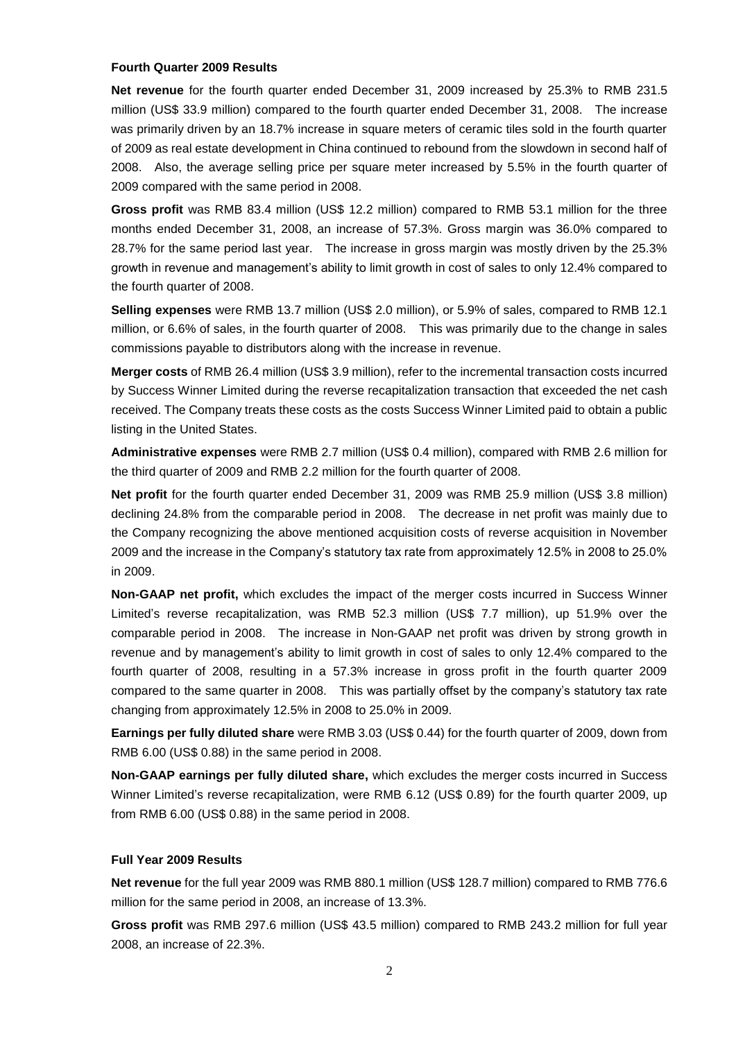#### **Fourth Quarter 2009 Results**

**Net revenue** for the fourth quarter ended December 31, 2009 increased by 25.3% to RMB 231.5 million (US\$ 33.9 million) compared to the fourth quarter ended December 31, 2008. The increase was primarily driven by an 18.7% increase in square meters of ceramic tiles sold in the fourth quarter of 2009 as real estate development in China continued to rebound from the slowdown in second half of 2008. Also, the average selling price per square meter increased by 5.5% in the fourth quarter of 2009 compared with the same period in 2008.

**Gross profit** was RMB 83.4 million (US\$ 12.2 million) compared to RMB 53.1 million for the three months ended December 31, 2008, an increase of 57.3%. Gross margin was 36.0% compared to 28.7% for the same period last year. The increase in gross margin was mostly driven by the 25.3% growth in revenue and management's ability to limit growth in cost of sales to only 12.4% compared to the fourth quarter of 2008.

**Selling expenses** were RMB 13.7 million (US\$ 2.0 million), or 5.9% of sales, compared to RMB 12.1 million, or 6.6% of sales, in the fourth quarter of 2008. This was primarily due to the change in sales commissions payable to distributors along with the increase in revenue.

**Merger costs** of RMB 26.4 million (US\$ 3.9 million), refer to the incremental transaction costs incurred by Success Winner Limited during the reverse recapitalization transaction that exceeded the net cash received. The Company treats these costs as the costs Success Winner Limited paid to obtain a public listing in the United States.

**Administrative expenses** were RMB 2.7 million (US\$ 0.4 million), compared with RMB 2.6 million for the third quarter of 2009 and RMB 2.2 million for the fourth quarter of 2008.

**Net profit** for the fourth quarter ended December 31, 2009 was RMB 25.9 million (US\$ 3.8 million) declining 24.8% from the comparable period in 2008. The decrease in net profit was mainly due to the Company recognizing the above mentioned acquisition costs of reverse acquisition in November 2009 and the increase in the Company's statutory tax rate from approximately 12.5% in 2008 to 25.0% in 2009.

**Non-GAAP net profit,** which excludes the impact of the merger costs incurred in Success Winner Limited's reverse recapitalization, was RMB 52.3 million (US\$ 7.7 million), up 51.9% over the comparable period in 2008. The increase in Non-GAAP net profit was driven by strong growth in revenue and by management's ability to limit growth in cost of sales to only 12.4% compared to the fourth quarter of 2008, resulting in a 57.3% increase in gross profit in the fourth quarter 2009 compared to the same quarter in 2008. This was partially offset by the company's statutory tax rate changing from approximately 12.5% in 2008 to 25.0% in 2009.

**Earnings per fully diluted share** were RMB 3.03 (US\$ 0.44) for the fourth quarter of 2009, down from RMB 6.00 (US\$ 0.88) in the same period in 2008.

**Non-GAAP earnings per fully diluted share,** which excludes the merger costs incurred in Success Winner Limited's reverse recapitalization, were RMB 6.12 (US\$ 0.89) for the fourth quarter 2009, up from RMB 6.00 (US\$ 0.88) in the same period in 2008.

### **Full Year 2009 Results**

**Net revenue** for the full year 2009 was RMB 880.1 million (US\$ 128.7 million) compared to RMB 776.6 million for the same period in 2008, an increase of 13.3%.

**Gross profit** was RMB 297.6 million (US\$ 43.5 million) compared to RMB 243.2 million for full year 2008, an increase of 22.3%.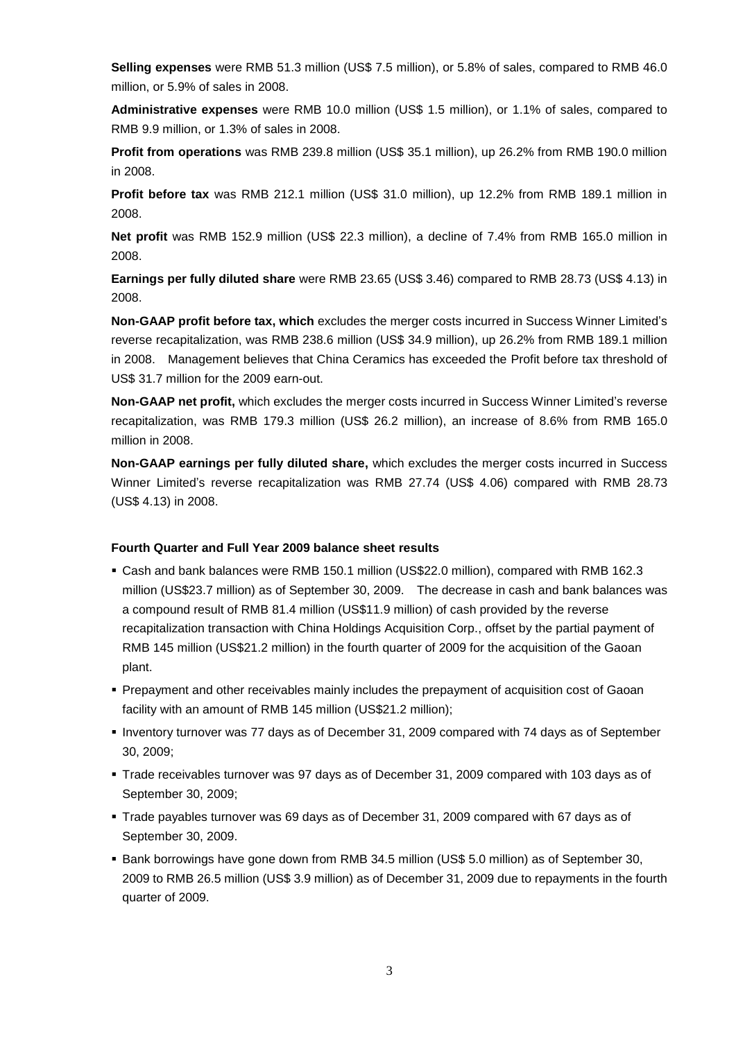**Selling expenses** were RMB 51.3 million (US\$ 7.5 million), or 5.8% of sales, compared to RMB 46.0 million, or 5.9% of sales in 2008.

**Administrative expenses** were RMB 10.0 million (US\$ 1.5 million), or 1.1% of sales, compared to RMB 9.9 million, or 1.3% of sales in 2008.

**Profit from operations** was RMB 239.8 million (US\$ 35.1 million), up 26.2% from RMB 190.0 million in 2008.

**Profit before tax** was RMB 212.1 million (US\$ 31.0 million), up 12.2% from RMB 189.1 million in 2008.

**Net profit** was RMB 152.9 million (US\$ 22.3 million), a decline of 7.4% from RMB 165.0 million in 2008.

**Earnings per fully diluted share** were RMB 23.65 (US\$ 3.46) compared to RMB 28.73 (US\$ 4.13) in 2008.

**Non-GAAP profit before tax, which** excludes the merger costs incurred in Success Winner Limited's reverse recapitalization, was RMB 238.6 million (US\$ 34.9 million), up 26.2% from RMB 189.1 million in 2008. Management believes that China Ceramics has exceeded the Profit before tax threshold of US\$ 31.7 million for the 2009 earn-out.

**Non-GAAP net profit,** which excludes the merger costs incurred in Success Winner Limited's reverse recapitalization, was RMB 179.3 million (US\$ 26.2 million), an increase of 8.6% from RMB 165.0 million in 2008.

**Non-GAAP earnings per fully diluted share,** which excludes the merger costs incurred in Success Winner Limited's reverse recapitalization was RMB 27.74 (US\$ 4.06) compared with RMB 28.73 (US\$ 4.13) in 2008.

### **Fourth Quarter and Full Year 2009 balance sheet results**

- Cash and bank balances were RMB 150.1 million (US\$22.0 million), compared with RMB 162.3 million (US\$23.7 million) as of September 30, 2009. The decrease in cash and bank balances was a compound result of RMB 81.4 million (US\$11.9 million) of cash provided by the reverse recapitalization transaction with China Holdings Acquisition Corp., offset by the partial payment of RMB 145 million (US\$21.2 million) in the fourth quarter of 2009 for the acquisition of the Gaoan plant.
- Prepayment and other receivables mainly includes the prepayment of acquisition cost of Gaoan facility with an amount of RMB 145 million (US\$21.2 million);
- Inventory turnover was 77 days as of December 31, 2009 compared with 74 days as of September 30, 2009;
- Trade receivables turnover was 97 days as of December 31, 2009 compared with 103 days as of September 30, 2009;
- Trade payables turnover was 69 days as of December 31, 2009 compared with 67 days as of September 30, 2009.
- Bank borrowings have gone down from RMB 34.5 million (US\$ 5.0 million) as of September 30, 2009 to RMB 26.5 million (US\$ 3.9 million) as of December 31, 2009 due to repayments in the fourth quarter of 2009.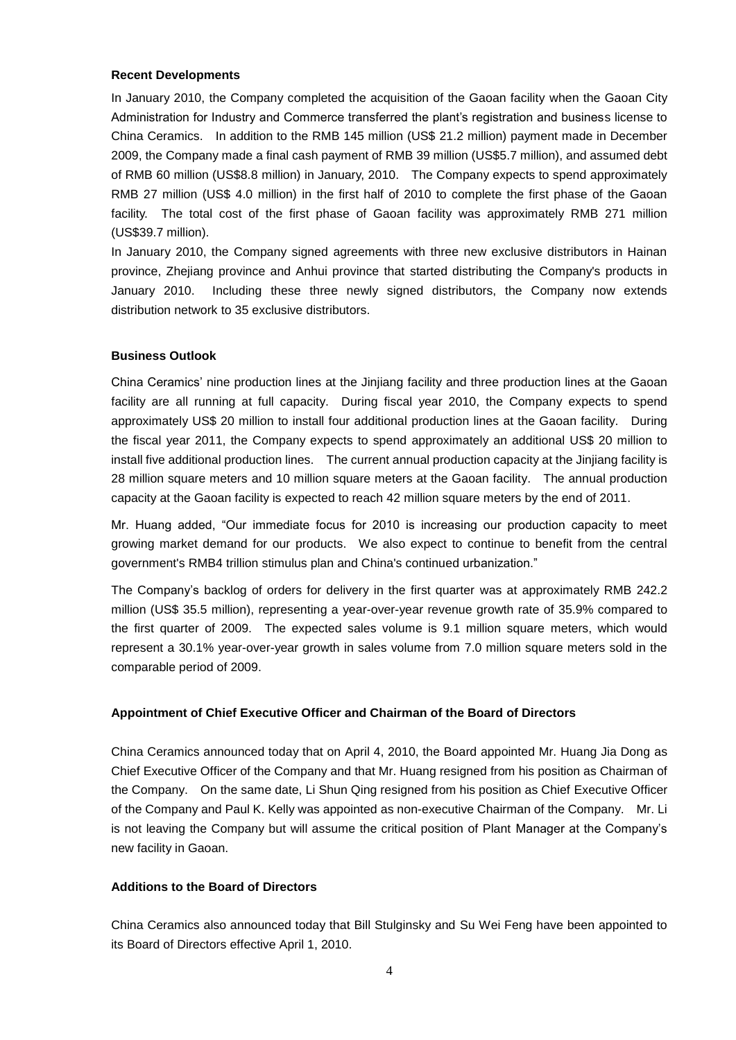#### **Recent Developments**

In January 2010, the Company completed the acquisition of the Gaoan facility when the Gaoan City Administration for Industry and Commerce transferred the plant's registration and business license to China Ceramics. In addition to the RMB 145 million (US\$ 21.2 million) payment made in December 2009, the Company made a final cash payment of RMB 39 million (US\$5.7 million), and assumed debt of RMB 60 million (US\$8.8 million) in January, 2010. The Company expects to spend approximately RMB 27 million (US\$ 4.0 million) in the first half of 2010 to complete the first phase of the Gaoan facility. The total cost of the first phase of Gaoan facility was approximately RMB 271 million (US\$39.7 million).

In January 2010, the Company signed agreements with three new exclusive distributors in Hainan province, Zhejiang province and Anhui province that started distributing the Company's products in January 2010. Including these three newly signed distributors, the Company now extends distribution network to 35 exclusive distributors.

#### **Business Outlook**

China Ceramics' nine production lines at the Jinjiang facility and three production lines at the Gaoan facility are all running at full capacity. During fiscal year 2010, the Company expects to spend approximately US\$ 20 million to install four additional production lines at the Gaoan facility. During the fiscal year 2011, the Company expects to spend approximately an additional US\$ 20 million to install five additional production lines. The current annual production capacity at the Jinjiang facility is 28 million square meters and 10 million square meters at the Gaoan facility. The annual production capacity at the Gaoan facility is expected to reach 42 million square meters by the end of 2011.

Mr. Huang added, "Our immediate focus for 2010 is increasing our production capacity to meet growing market demand for our products. We also expect to continue to benefit from the central government's RMB4 trillion stimulus plan and China's continued urbanization."

The Company's backlog of orders for delivery in the first quarter was at approximately RMB 242.2 million (US\$ 35.5 million), representing a year-over-year revenue growth rate of 35.9% compared to the first quarter of 2009. The expected sales volume is 9.1 million square meters, which would represent a 30.1% year-over-year growth in sales volume from 7.0 million square meters sold in the comparable period of 2009.

### **Appointment of Chief Executive Officer and Chairman of the Board of Directors**

China Ceramics announced today that on April 4, 2010, the Board appointed Mr. Huang Jia Dong as Chief Executive Officer of the Company and that Mr. Huang resigned from his position as Chairman of the Company. On the same date, Li Shun Qing resigned from his position as Chief Executive Officer of the Company and Paul K. Kelly was appointed as non-executive Chairman of the Company. Mr. Li is not leaving the Company but will assume the critical position of Plant Manager at the Company's new facility in Gaoan.

# **Additions to the Board of Directors**

China Ceramics also announced today that Bill Stulginsky and Su Wei Feng have been appointed to its Board of Directors effective April 1, 2010.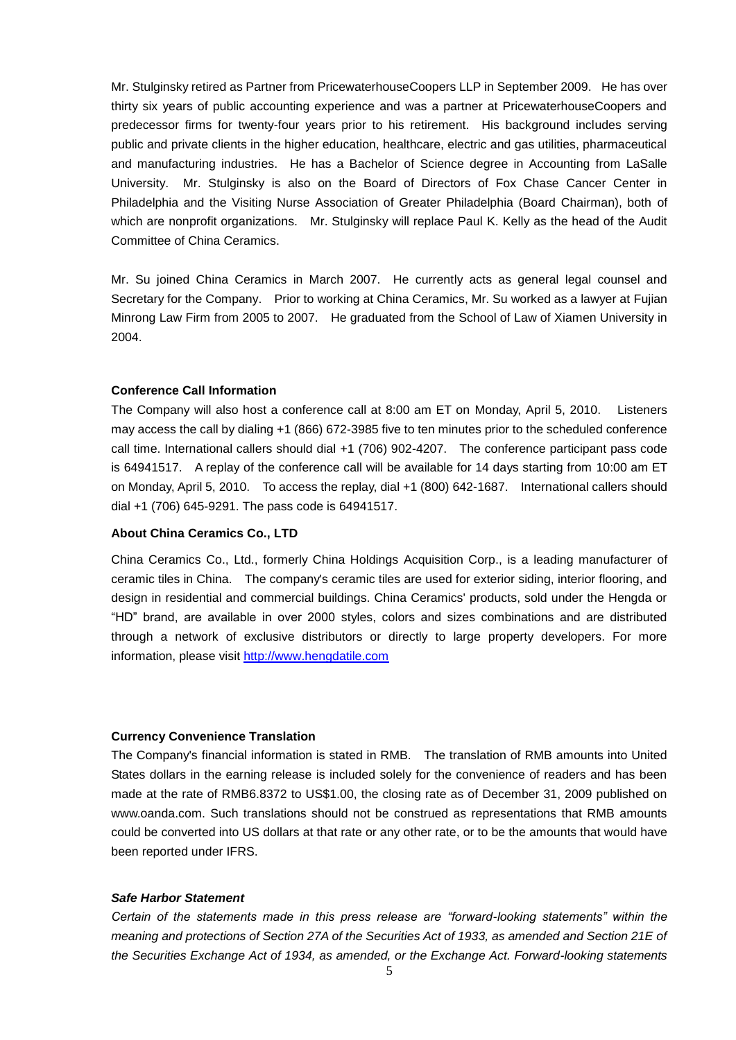Mr. Stulginsky retired as Partner from PricewaterhouseCoopers LLP in September 2009. He has over thirty six years of public accounting experience and was a partner at PricewaterhouseCoopers and predecessor firms for twenty-four years prior to his retirement. His background includes serving public and private clients in the higher education, healthcare, electric and gas utilities, pharmaceutical and manufacturing industries. He has a Bachelor of Science degree in Accounting from LaSalle University. Mr. Stulginsky is also on the Board of Directors of Fox Chase Cancer Center in Philadelphia and the Visiting Nurse Association of Greater Philadelphia (Board Chairman), both of which are nonprofit organizations. Mr. Stulginsky will replace Paul K. Kelly as the head of the Audit Committee of China Ceramics.

Mr. Su joined China Ceramics in March 2007. He currently acts as general legal counsel and Secretary for the Company. Prior to working at China Ceramics, Mr. Su worked as a lawyer at Fujian Minrong Law Firm from 2005 to 2007. He graduated from the School of Law of Xiamen University in 2004.

#### **Conference Call Information**

The Company will also host a conference call at 8:00 am ET on Monday, April 5, 2010. Listeners may access the call by dialing +1 (866) 672-3985 five to ten minutes prior to the scheduled conference call time. International callers should dial +1 (706) 902-4207. The conference participant pass code is 64941517. A replay of the conference call will be available for 14 days starting from 10:00 am ET on Monday, April 5, 2010. To access the replay, dial +1 (800) 642-1687. International callers should dial +1 (706) 645-9291. The pass code is 64941517.

#### **About China Ceramics Co., LTD**

China Ceramics Co., Ltd., formerly China Holdings Acquisition Corp., is a leading manufacturer of ceramic tiles in China. The company's ceramic tiles are used for exterior siding, interior flooring, and design in residential and commercial buildings. China Ceramics' products, sold under the Hengda or "HD" brand, are available in over 2000 styles, colors and sizes combinations and are distributed through a network of exclusive distributors or directly to large property developers. For more information, please visit [http://www.hengdatile.com](http://www.hengdatile.com/)

#### **Currency Convenience Translation**

The Company's financial information is stated in RMB. The translation of RMB amounts into United States dollars in the earning release is included solely for the convenience of readers and has been made at the rate of RMB6.8372 to US\$1.00, the closing rate as of December 31, 2009 published on www.oanda.com. Such translations should not be construed as representations that RMB amounts could be converted into US dollars at that rate or any other rate, or to be the amounts that would have been reported under IFRS.

#### *Safe Harbor Statement*

*Certain of the statements made in this press release are "forward-looking statements" within the meaning and protections of Section 27A of the Securities Act of 1933, as amended and Section 21E of the Securities Exchange Act of 1934, as amended, or the Exchange Act. Forward-looking statements*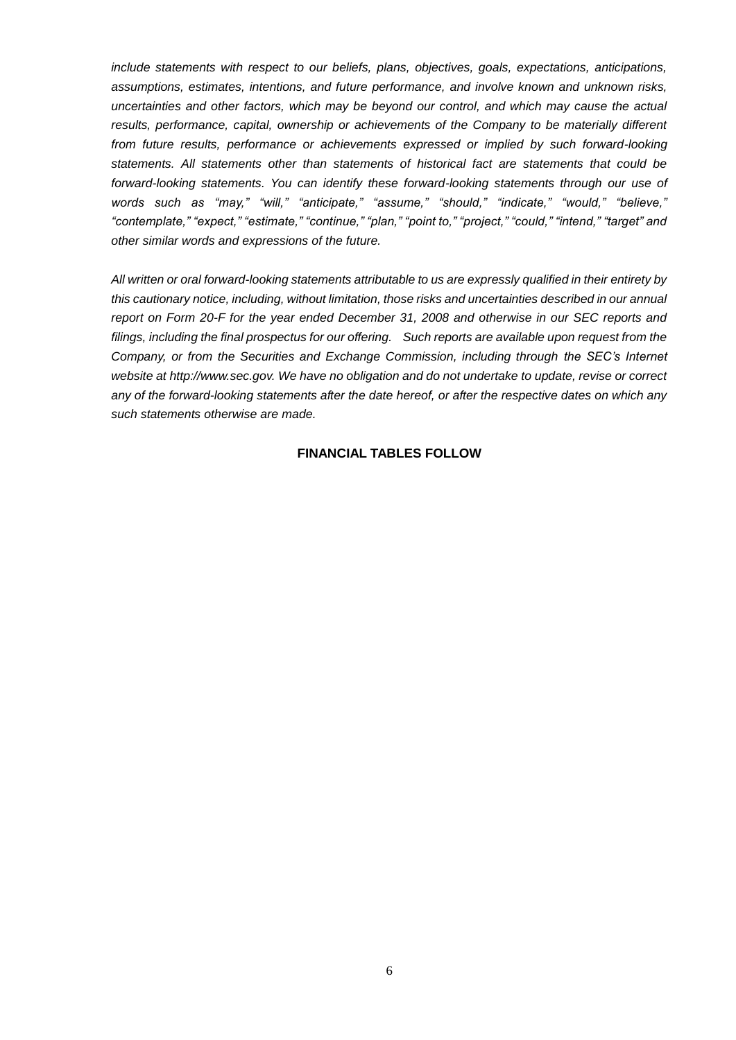*include statements with respect to our beliefs, plans, objectives, goals, expectations, anticipations, assumptions, estimates, intentions, and future performance, and involve known and unknown risks, uncertainties and other factors, which may be beyond our control, and which may cause the actual results, performance, capital, ownership or achievements of the Company to be materially different from future results, performance or achievements expressed or implied by such forward-looking statements. All statements other than statements of historical fact are statements that could be forward-looking statements. You can identify these forward-looking statements through our use of words such as "may," "will," "anticipate," "assume," "should," "indicate," "would," "believe," "contemplate," "expect," "estimate," "continue," "plan," "point to," "project," "could," "intend," "target" and other similar words and expressions of the future.* 

*All written or oral forward-looking statements attributable to us are expressly qualified in their entirety by this cautionary notice, including, without limitation, those risks and uncertainties described in our annual report on Form 20-F for the year ended December 31, 2008 and otherwise in our SEC reports and filings, including the final prospectus for our offering. Such reports are available upon request from the Company, or from the Securities and Exchange Commission, including through the SEC's Internet website at http://www.sec.gov. We have no obligation and do not undertake to update, revise or correct any of the forward-looking statements after the date hereof, or after the respective dates on which any such statements otherwise are made.*

### **FINANCIAL TABLES FOLLOW**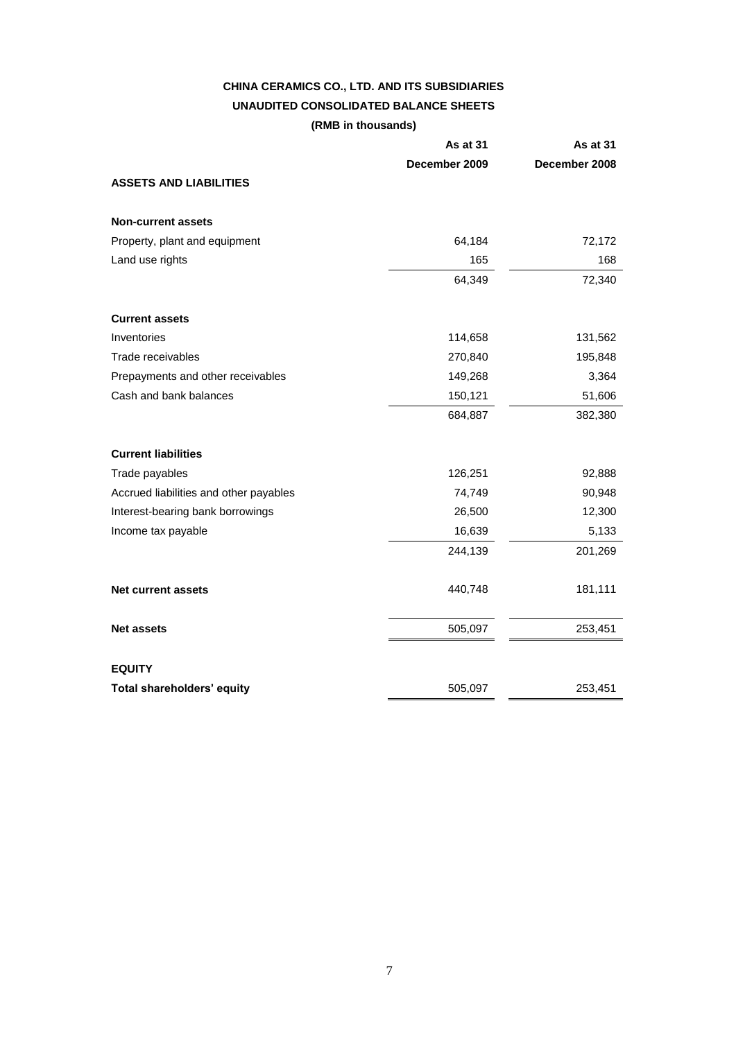# **CHINA CERAMICS CO., LTD. AND ITS SUBSIDIARIES UNAUDITED CONSOLIDATED BALANCE SHEETS (RMB in thousands)**

|                                        | As at 31      | <b>As at 31</b> |
|----------------------------------------|---------------|-----------------|
|                                        | December 2009 | December 2008   |
| <b>ASSETS AND LIABILITIES</b>          |               |                 |
| <b>Non-current assets</b>              |               |                 |
| Property, plant and equipment          | 64,184        | 72,172          |
| Land use rights                        | 165           | 168             |
|                                        | 64,349        | 72,340          |
| <b>Current assets</b>                  |               |                 |
| Inventories                            | 114,658       | 131,562         |
| Trade receivables                      | 270,840       | 195,848         |
| Prepayments and other receivables      | 149,268       | 3,364           |
| Cash and bank balances                 | 150,121       | 51,606          |
|                                        | 684,887       | 382,380         |
| <b>Current liabilities</b>             |               |                 |
| Trade payables                         | 126,251       | 92,888          |
| Accrued liabilities and other payables | 74,749        | 90,948          |
| Interest-bearing bank borrowings       | 26,500        | 12,300          |
| Income tax payable                     | 16,639        | 5,133           |
|                                        | 244,139       | 201,269         |
| <b>Net current assets</b>              | 440,748       | 181,111         |
| <b>Net assets</b>                      | 505,097       | 253,451         |
| <b>EQUITY</b>                          |               |                 |
| Total shareholders' equity             | 505,097       | 253,451         |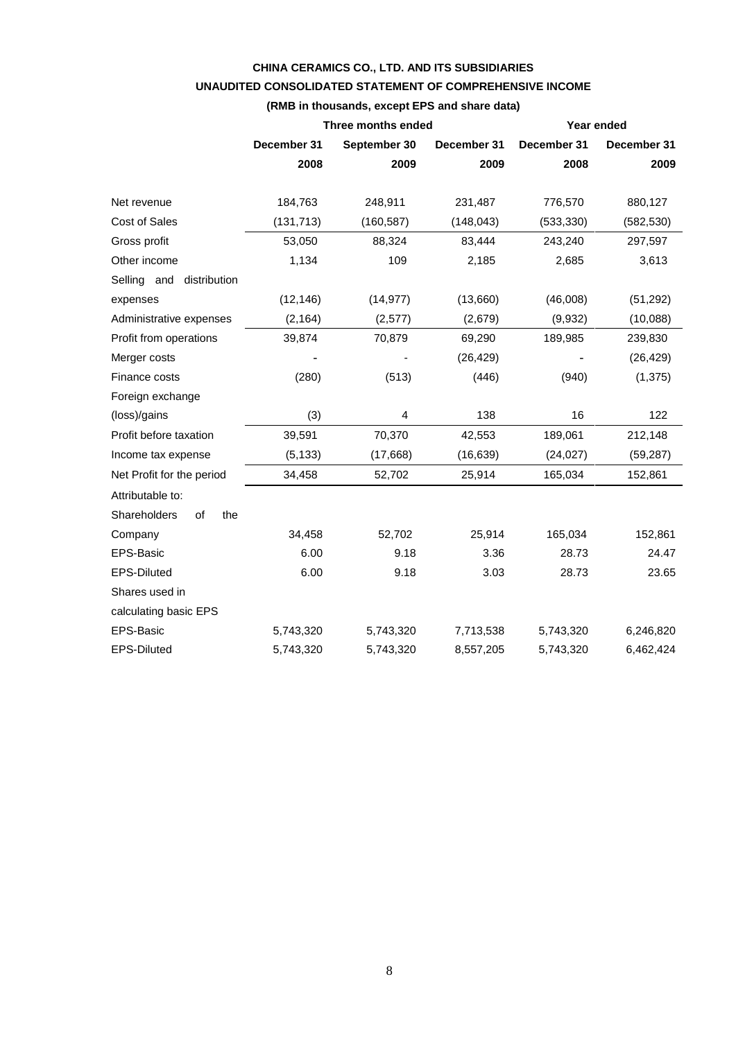# **CHINA CERAMICS CO., LTD. AND ITS SUBSIDIARIES UNAUDITED CONSOLIDATED STATEMENT OF COMPREHENSIVE INCOME**

|                             |                                            | (RMB in thousands, except EPS and share data) |            |             |             |
|-----------------------------|--------------------------------------------|-----------------------------------------------|------------|-------------|-------------|
|                             |                                            | Three months ended                            |            | Year ended  |             |
|                             | December 31<br>September 30<br>December 31 |                                               |            | December 31 | December 31 |
|                             | 2008                                       | 2009                                          | 2009       | 2008        | 2009        |
|                             |                                            |                                               |            |             |             |
| Net revenue                 | 184,763                                    | 248,911                                       | 231,487    | 776,570     | 880,127     |
| Cost of Sales               | (131, 713)                                 | (160, 587)                                    | (148, 043) | (533, 330)  | (582, 530)  |
| Gross profit                | 53,050                                     | 88,324                                        | 83,444     | 243,240     | 297,597     |
| Other income                | 1,134                                      | 109                                           | 2,185      | 2,685       | 3,613       |
| Selling and<br>distribution |                                            |                                               |            |             |             |
| expenses                    | (12, 146)                                  | (14, 977)                                     | (13,660)   | (46,008)    | (51, 292)   |
| Administrative expenses     | (2, 164)                                   | (2, 577)                                      | (2,679)    | (9,932)     | (10,088)    |
| Profit from operations      | 39,874                                     | 70,879                                        | 69,290     | 189,985     | 239,830     |
| Merger costs                |                                            |                                               | (26, 429)  |             | (26, 429)   |
| Finance costs               | (280)                                      | (513)                                         | (446)      | (940)       | (1, 375)    |
| Foreign exchange            |                                            |                                               |            |             |             |
| (loss)/gains                | (3)                                        | 4                                             | 138        | 16          | 122         |
| Profit before taxation      | 39,591                                     | 70,370                                        | 42,553     | 189,061     | 212,148     |
| Income tax expense          | (5, 133)                                   | (17,668)                                      | (16, 639)  | (24, 027)   | (59, 287)   |
| Net Profit for the period   | 34,458                                     | 52,702                                        | 25,914     | 165,034     | 152,861     |
| Attributable to:            |                                            |                                               |            |             |             |
| Shareholders<br>of<br>the   |                                            |                                               |            |             |             |
| Company                     | 34,458                                     | 52,702                                        | 25,914     | 165,034     | 152,861     |
| EPS-Basic                   | 6.00                                       | 9.18                                          | 3.36       | 28.73       | 24.47       |
| <b>EPS-Diluted</b>          | 6.00                                       | 9.18                                          | 3.03       | 28.73       | 23.65       |
| Shares used in              |                                            |                                               |            |             |             |
| calculating basic EPS       |                                            |                                               |            |             |             |
| EPS-Basic                   | 5,743,320                                  | 5,743,320                                     | 7,713,538  | 5,743,320   | 6,246,820   |

EPS-Diluted 5,743,320 5,743,320 8,557,205 5,743,320 6,462,424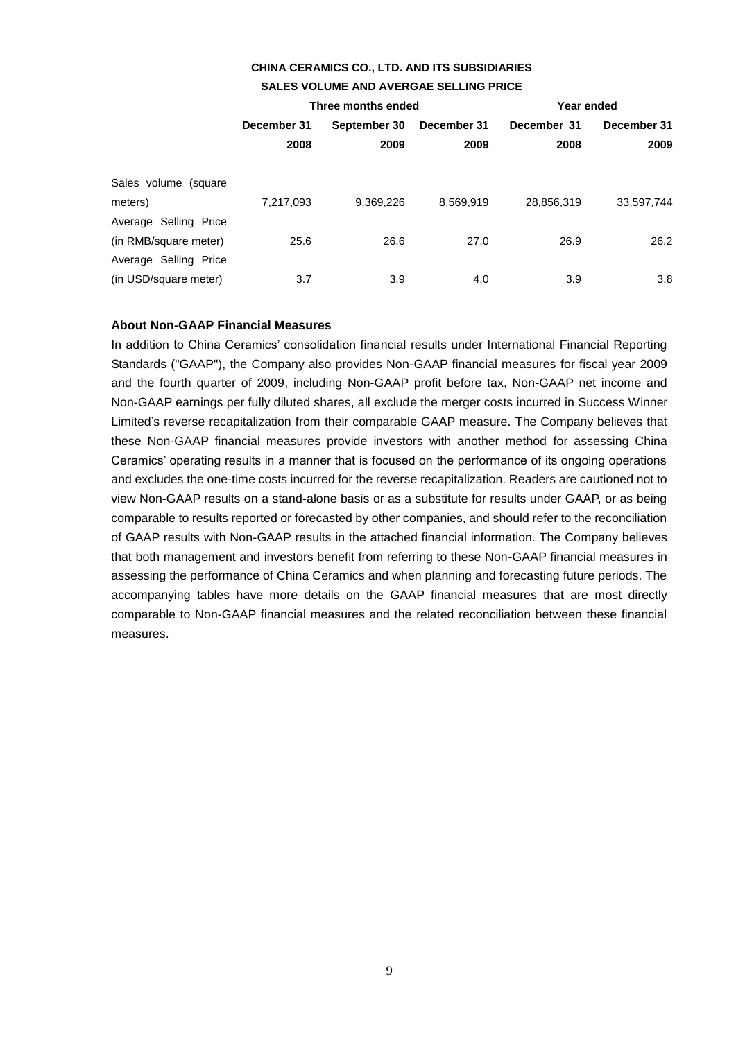## **CHINA CERAMICS CO., LTD. AND ITS SUBSIDIARIES SALES VOLUME AND AVERGAE SELLING PRICE**

|             |                             | Year ended |                    |             |
|-------------|-----------------------------|------------|--------------------|-------------|
| December 31 | September 30<br>December 31 |            | December 31        | December 31 |
| 2008        | 2009                        | 2009       | 2008               | 2009        |
|             |                             |            |                    |             |
| 7,217,093   | 9,369,226                   | 8,569,919  | 28,856,319         | 33,597,744  |
|             |                             |            |                    |             |
| 25.6        | 26.6                        | 27.0       | 26.9               | 26.2        |
|             |                             |            |                    |             |
| 3.7         | 3.9                         | 4.0        | 3.9                | 3.8         |
|             |                             |            | Three months ended |             |

#### **About Non-GAAP Financial Measures**

In addition to China Ceramics' consolidation financial results under International Financial Reporting Standards ("GAAP"), the Company also provides Non-GAAP financial measures for fiscal year 2009 and the fourth quarter of 2009, including Non-GAAP profit before tax, Non-GAAP net income and Non-GAAP earnings per fully diluted shares, all exclude the merger costs incurred in Success Winner Limited's reverse recapitalization from their comparable GAAP measure. The Company believes that these Non-GAAP financial measures provide investors with another method for assessing China Ceramics' operating results in a manner that is focused on the performance of its ongoing operations and excludes the one-time costs incurred for the reverse recapitalization. Readers are cautioned not to view Non-GAAP results on a stand-alone basis or as a substitute for results under GAAP, or as being comparable to results reported or forecasted by other companies, and should refer to the reconciliation of GAAP results with Non-GAAP results in the attached financial information. The Company believes that both management and investors benefit from referring to these Non-GAAP financial measures in assessing the performance of China Ceramics and when planning and forecasting future periods. The accompanying tables have more details on the GAAP financial measures that are most directly comparable to Non-GAAP financial measures and the related reconciliation between these financial measures.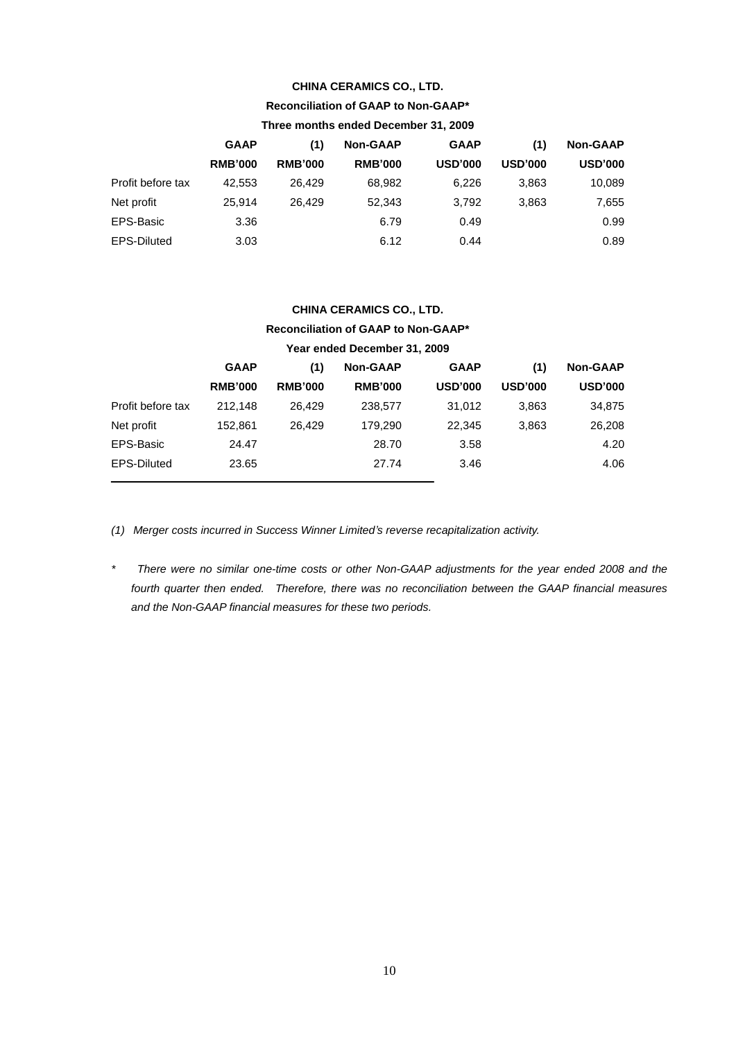#### **CHINA CERAMICS CO., LTD.**

# **Reconciliation of GAAP to Non-GAAP\***

| Three months ended December 31, 2009 |                |                |                 |                |                |                 |
|--------------------------------------|----------------|----------------|-----------------|----------------|----------------|-----------------|
|                                      | <b>GAAP</b>    | (1)            | <b>Non-GAAP</b> | <b>GAAP</b>    | (1)            | <b>Non-GAAP</b> |
|                                      | <b>RMB'000</b> | <b>RMB'000</b> | <b>RMB'000</b>  | <b>USD'000</b> | <b>USD'000</b> | <b>USD'000</b>  |
| Profit before tax                    | 42.553         | 26.429         | 68,982          | 6,226          | 3,863          | 10,089          |
| Net profit                           | 25.914         | 26.429         | 52,343          | 3,792          | 3,863          | 7,655           |
| EPS-Basic                            | 3.36           |                | 6.79            | 0.49           |                | 0.99            |
| <b>EPS-Diluted</b>                   | 3.03           |                | 6.12            | 0.44           |                | 0.89            |

# **CHINA CERAMICS CO., LTD. Reconciliation of GAAP to Non-GAAP\***

# **Year ended December 31, 2009**

|                    | <b>GAAP</b>    | (1)            | <b>Non-GAAP</b> | <b>GAAP</b>    | (1)            | <b>Non-GAAP</b> |
|--------------------|----------------|----------------|-----------------|----------------|----------------|-----------------|
|                    | <b>RMB'000</b> | <b>RMB'000</b> | <b>RMB'000</b>  | <b>USD'000</b> | <b>USD'000</b> | <b>USD'000</b>  |
| Profit before tax  | 212.148        | 26.429         | 238.577         | 31.012         | 3.863          | 34,875          |
| Net profit         | 152.861        | 26.429         | 179.290         | 22.345         | 3,863          | 26,208          |
| EPS-Basic          | 24.47          |                | 28.70           | 3.58           |                | 4.20            |
| <b>EPS-Diluted</b> | 23.65          |                | 27.74           | 3.46           |                | 4.06            |
|                    |                |                |                 |                |                |                 |

*(1) Merger costs incurred in Success Winner Limited's reverse recapitalization activity.*

*\* There were no similar one-time costs or other Non-GAAP adjustments for the year ended 2008 and the fourth quarter then ended. Therefore, there was no reconciliation between the GAAP financial measures and the Non-GAAP financial measures for these two periods.*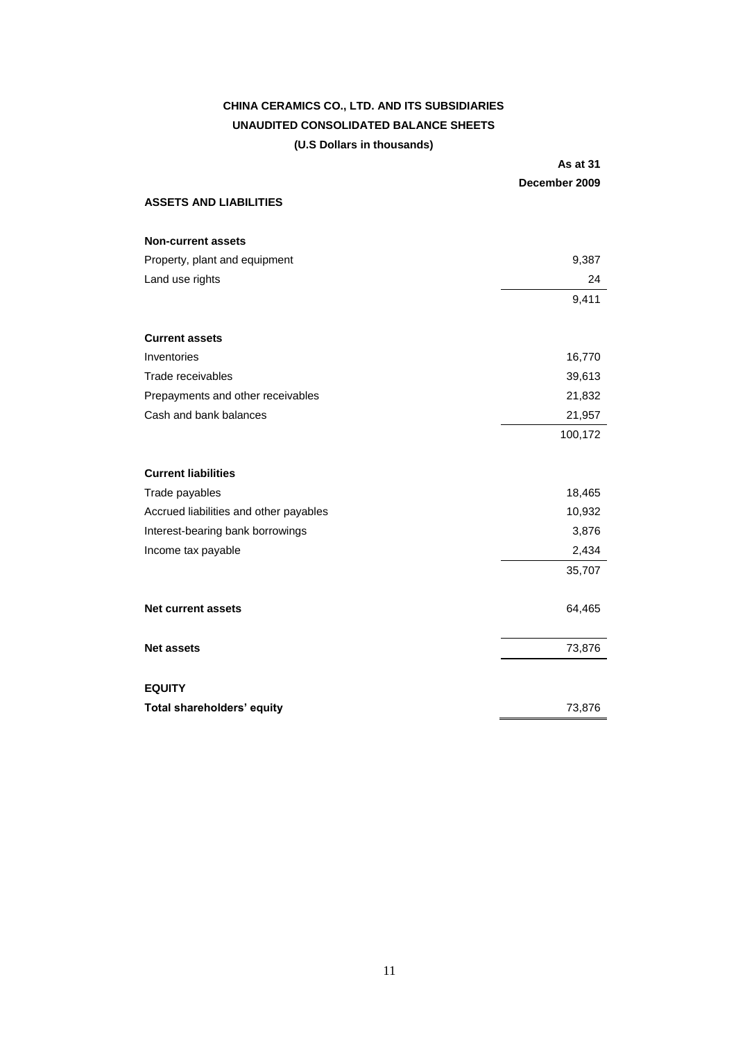# **CHINA CERAMICS CO., LTD. AND ITS SUBSIDIARIES UNAUDITED CONSOLIDATED BALANCE SHEETS (U.S Dollars in thousands)**

|                                        | <b>As at 31</b><br>December 2009 |
|----------------------------------------|----------------------------------|
| <b>ASSETS AND LIABILITIES</b>          |                                  |
| <b>Non-current assets</b>              |                                  |
| Property, plant and equipment          | 9,387                            |
| Land use rights                        | 24                               |
|                                        | 9,411                            |
| <b>Current assets</b>                  |                                  |
| Inventories                            | 16,770                           |
| Trade receivables                      | 39,613                           |
| Prepayments and other receivables      | 21,832                           |
| Cash and bank balances                 | 21,957                           |
|                                        | 100,172                          |
| <b>Current liabilities</b>             |                                  |
| Trade payables                         | 18,465                           |
| Accrued liabilities and other payables | 10,932                           |
| Interest-bearing bank borrowings       | 3,876                            |
| Income tax payable                     | 2,434                            |
|                                        | 35,707                           |
| Net current assets                     | 64,465                           |
| <b>Net assets</b>                      | 73,876                           |
| <b>EQUITY</b>                          |                                  |
| Total shareholders' equity             | 73,876                           |
|                                        |                                  |